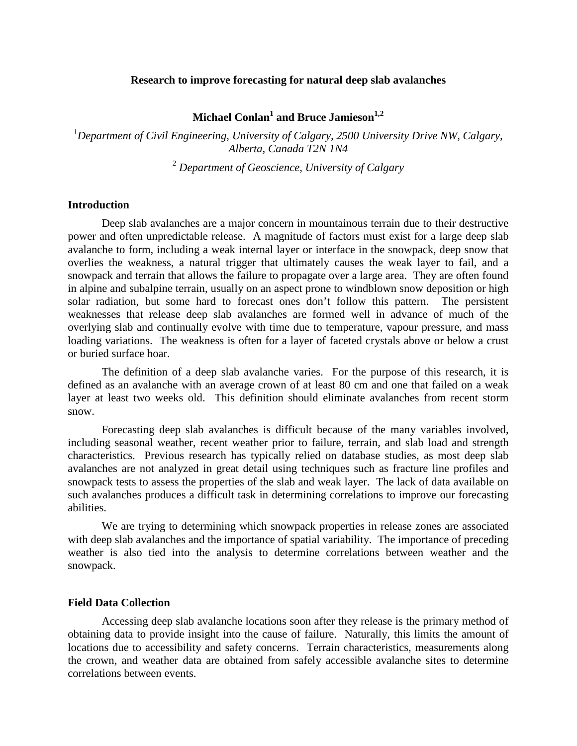### **Research to improve forecasting for natural deep slab avalanches**

**Michael Conlan<sup>1</sup> and Bruce Jamieson1,2**

<sup>1</sup>Department of Civil Engineering, University of Calgary, 2500 University Drive NW, Calgary, *Alberta, Canada T2N 1N4*

<sup>2</sup> *Department of Geoscience, University of Calgary*

#### **Introduction**

Deep slab avalanches are a major concern in mountainous terrain due to their destructive power and often unpredictable release. A magnitude of factors must exist for a large deep slab avalanche to form, including a weak internal layer or interface in the snowpack, deep snow that overlies the weakness, a natural trigger that ultimately causes the weak layer to fail, and a snowpack and terrain that allows the failure to propagate over a large area. They are often found in alpine and subalpine terrain, usually on an aspect prone to windblown snow deposition or high solar radiation, but some hard to forecast ones don't follow this pattern. The persistent weaknesses that release deep slab avalanches are formed well in advance of much of the overlying slab and continually evolve with time due to temperature, vapour pressure, and mass loading variations. The weakness is often for a layer of faceted crystals above or below a crust or buried surface hoar.

The definition of a deep slab avalanche varies. For the purpose of this research, it is defined as an avalanche with an average crown of at least 80 cm and one that failed on a weak layer at least two weeks old. This definition should eliminate avalanches from recent storm snow.

Forecasting deep slab avalanches is difficult because of the many variables involved, including seasonal weather, recent weather prior to failure, terrain, and slab load and strength characteristics. Previous research has typically relied on database studies, as most deep slab avalanches are not analyzed in great detail using techniques such as fracture line profiles and snowpack tests to assess the properties of the slab and weak layer. The lack of data available on such avalanches produces a difficult task in determining correlations to improve our forecasting abilities.

We are trying to determining which snowpack properties in release zones are associated with deep slab avalanches and the importance of spatial variability. The importance of preceding weather is also tied into the analysis to determine correlations between weather and the snowpack.

#### **Field Data Collection**

Accessing deep slab avalanche locations soon after they release is the primary method of obtaining data to provide insight into the cause of failure. Naturally, this limits the amount of locations due to accessibility and safety concerns. Terrain characteristics, measurements along the crown, and weather data are obtained from safely accessible avalanche sites to determine correlations between events.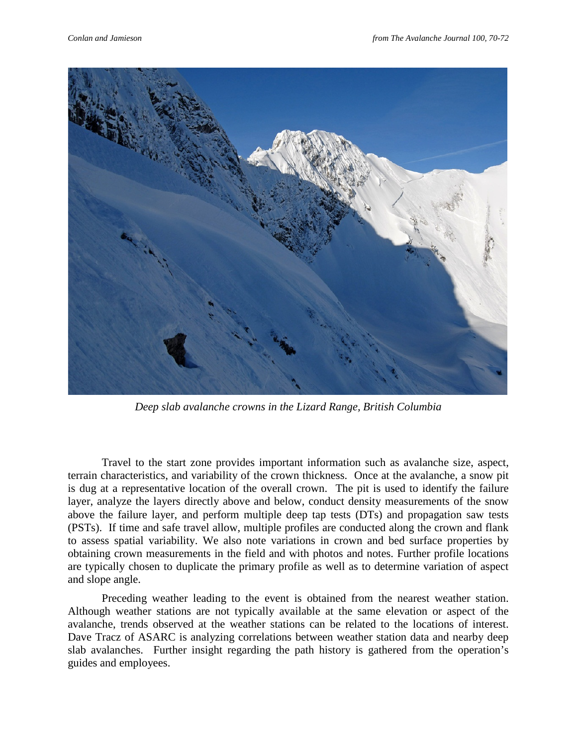

*Deep slab avalanche crowns in the Lizard Range, British Columbia*

Travel to the start zone provides important information such as avalanche size, aspect, terrain characteristics, and variability of the crown thickness. Once at the avalanche, a snow pit is dug at a representative location of the overall crown. The pit is used to identify the failure layer, analyze the layers directly above and below, conduct density measurements of the snow above the failure layer, and perform multiple deep tap tests (DTs) and propagation saw tests (PSTs). If time and safe travel allow, multiple profiles are conducted along the crown and flank to assess spatial variability. We also note variations in crown and bed surface properties by obtaining crown measurements in the field and with photos and notes. Further profile locations are typically chosen to duplicate the primary profile as well as to determine variation of aspect and slope angle.

Preceding weather leading to the event is obtained from the nearest weather station. Although weather stations are not typically available at the same elevation or aspect of the avalanche, trends observed at the weather stations can be related to the locations of interest. Dave Tracz of ASARC is analyzing correlations between weather station data and nearby deep slab avalanches. Further insight regarding the path history is gathered from the operation's guides and employees.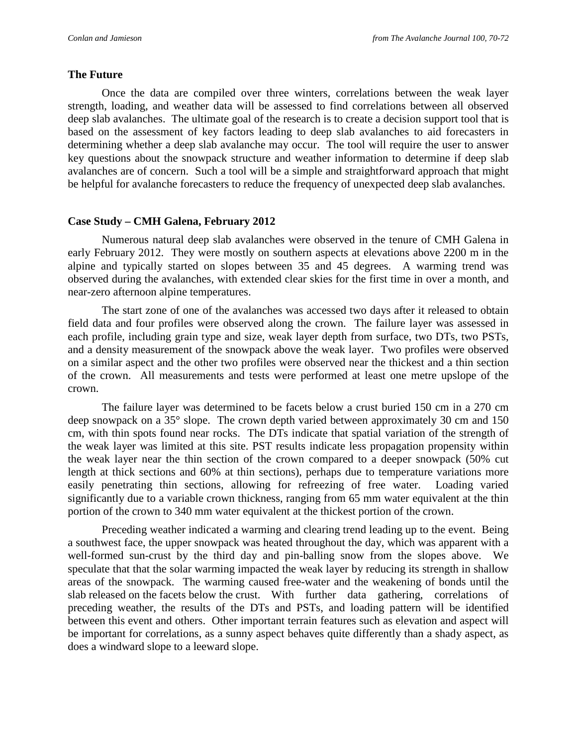## **The Future**

Once the data are compiled over three winters, correlations between the weak layer strength, loading, and weather data will be assessed to find correlations between all observed deep slab avalanches. The ultimate goal of the research is to create a decision support tool that is based on the assessment of key factors leading to deep slab avalanches to aid forecasters in determining whether a deep slab avalanche may occur. The tool will require the user to answer key questions about the snowpack structure and weather information to determine if deep slab avalanches are of concern. Such a tool will be a simple and straightforward approach that might be helpful for avalanche forecasters to reduce the frequency of unexpected deep slab avalanches.

# **Case Study – CMH Galena, February 2012**

Numerous natural deep slab avalanches were observed in the tenure of CMH Galena in early February 2012. They were mostly on southern aspects at elevations above 2200 m in the alpine and typically started on slopes between 35 and 45 degrees. A warming trend was observed during the avalanches, with extended clear skies for the first time in over a month, and near-zero afternoon alpine temperatures.

The start zone of one of the avalanches was accessed two days after it released to obtain field data and four profiles were observed along the crown. The failure layer was assessed in each profile, including grain type and size, weak layer depth from surface, two DTs, two PSTs, and a density measurement of the snowpack above the weak layer. Two profiles were observed on a similar aspect and the other two profiles were observed near the thickest and a thin section of the crown. All measurements and tests were performed at least one metre upslope of the crown.

The failure layer was determined to be facets below a crust buried 150 cm in a 270 cm deep snowpack on a 35° slope. The crown depth varied between approximately 30 cm and 150 cm, with thin spots found near rocks. The DTs indicate that spatial variation of the strength of the weak layer was limited at this site. PST results indicate less propagation propensity within the weak layer near the thin section of the crown compared to a deeper snowpack (50% cut length at thick sections and 60% at thin sections), perhaps due to temperature variations more easily penetrating thin sections, allowing for refreezing of free water. Loading varied significantly due to a variable crown thickness, ranging from 65 mm water equivalent at the thin portion of the crown to 340 mm water equivalent at the thickest portion of the crown.

Preceding weather indicated a warming and clearing trend leading up to the event. Being a southwest face, the upper snowpack was heated throughout the day, which was apparent with a well-formed sun-crust by the third day and pin-balling snow from the slopes above. We speculate that that the solar warming impacted the weak layer by reducing its strength in shallow areas of the snowpack. The warming caused free-water and the weakening of bonds until the slab released on the facets below the crust. With further data gathering, correlations of preceding weather, the results of the DTs and PSTs, and loading pattern will be identified between this event and others. Other important terrain features such as elevation and aspect will be important for correlations, as a sunny aspect behaves quite differently than a shady aspect, as does a windward slope to a leeward slope.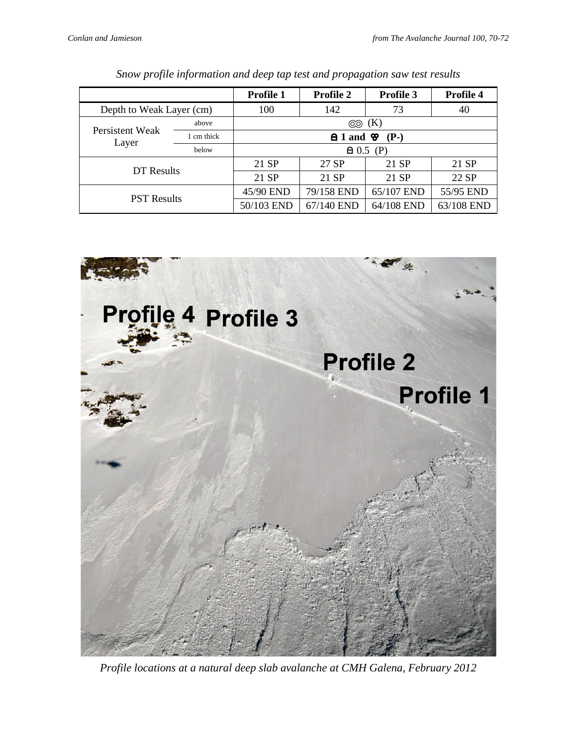|                          |            | Profile 1                               | <b>Profile 2</b> | Profile 3  | Profile 4  |  |  |  |  |
|--------------------------|------------|-----------------------------------------|------------------|------------|------------|--|--|--|--|
| Depth to Weak Layer (cm) |            | 100                                     | 142<br>73        |            | 40         |  |  |  |  |
| Persistent Weak<br>Layer | above      | $\circledcirc$ (K)                      |                  |            |            |  |  |  |  |
|                          | 1 cm thick | $\triangle$ 1 and $\triangle$<br>$(P-)$ |                  |            |            |  |  |  |  |
|                          | below      | $\triangle$ 0.5 (P)                     |                  |            |            |  |  |  |  |
| DT Results               |            | 21 SP                                   | 27 SP            | 21 SP      | 21 SP      |  |  |  |  |
|                          |            | 21 SP                                   | 21 SP            | 21 SP      | 22 SP      |  |  |  |  |
| <b>PST Results</b>       |            | 45/90 END                               | 79/158 END       | 65/107 END | 55/95 END  |  |  |  |  |
|                          |            | 50/103 END                              | 67/140 END       | 64/108 END | 63/108 END |  |  |  |  |

|  |  |  |  |  | Snow profile information and deep tap test and propagation saw test results |  |  |
|--|--|--|--|--|-----------------------------------------------------------------------------|--|--|
|  |  |  |  |  |                                                                             |  |  |



*Profile locations at a natural deep slab avalanche at CMH Galena, February 2012*